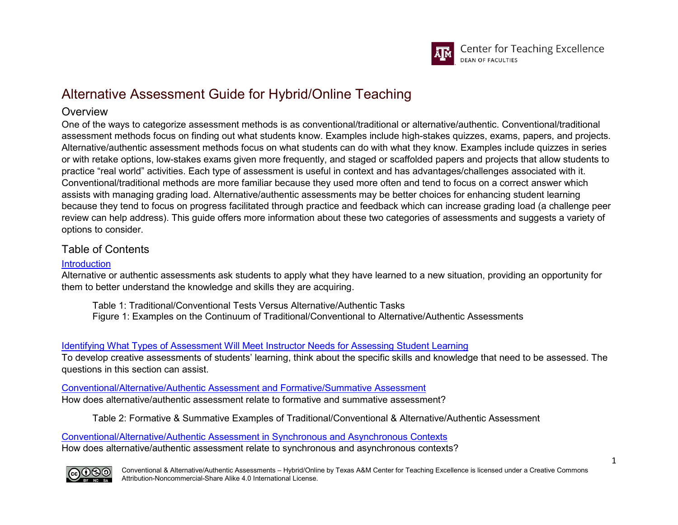

# Alternative Assessment Guide for Hybrid/Online Teaching

### **Overview**

One of the ways to categorize assessment methods is as conventional/traditional or alternative/authentic. Conventional/traditional assessment methods focus on finding out what students know. Examples include high-stakes quizzes, exams, papers, and projects. Alternative/authentic assessment methods focus on what students can do with what they know. Examples include quizzes in series or with retake options, low-stakes exams given more frequently, and staged or scaffolded papers and projects that allow students to practice "real world" activities. Each type of assessment is useful in context and has advantages/challenges associated with it. Conventional/traditional methods are more familiar because they used more often and tend to focus on a correct answer which assists with managing grading load. Alternative/authentic assessments may be better choices for enhancing student learning because they tend to focus on progress facilitated through practice and feedback which can increase grading load (a challenge peer review can help address). This guide offers more information about these two categories of assessments and suggests a variety of options to consider.

# Table of Contents

#### **[Introduction](#page-2-0)**

Alternative or authentic assessments ask students to apply what they have learned to a new situation, providing an opportunity for them to better understand the knowledge and skills they are acquiring.

Table 1: Traditional/Conventional Tests Versus Alternative/Authentic Tasks Figure 1: Examples on the Continuum of Traditional/Conventional to Alternative/Authentic Assessments

### [Identifying What Types of Assessment Will Meet Instructor Needs for Assessing Student Learning](#page-4-0)

To develop creative assessments of students' learning, think about the specific skills and knowledge that need to be assessed. The questions in this section can assist.

#### [Conventional/Alternative/Authentic Assessment and Formative/Summative Assessment](#page-5-0)

How does alternative/authentic assessment relate to formative and summative assessment?

Table 2: Formative & Summative Examples of Traditional/Conventional & Alternative/Authentic Assessment

[Conventional/Alternative/Authentic Assessment in Synchronous and Asynchronous Contexts](#page-6-0) How does alternative/authentic assessment relate to synchronous and asynchronous contexts?

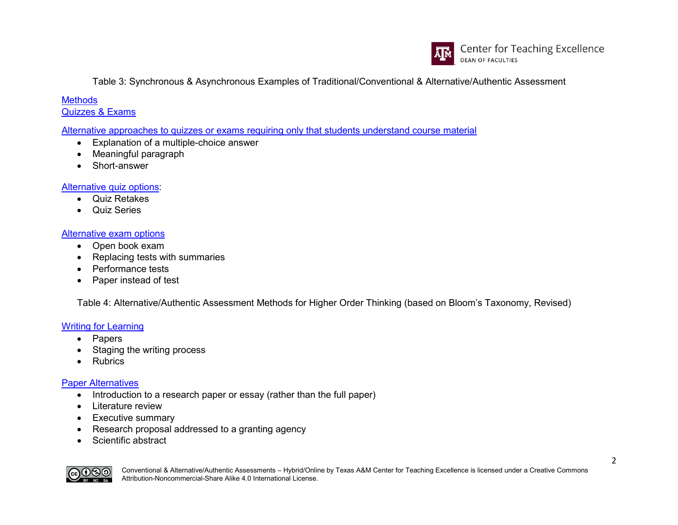

Table 3: Synchronous & Asynchronous Examples of Traditional/Conventional & Alternative/Authentic Assessment

#### **[Methods](#page-7-0)** [Quizzes & Exams](#page-7-1)

[Alternative approaches to quizzes or exams requiring only that students understand course material](#page-7-2)

- Explanation of a multiple-choice answer
- Meaningful paragraph
- Short-answer

#### [Alternative quiz options:](#page-7-3)

- Quiz Retakes
- Quiz Series

#### [Alternative exam options](#page-8-0)

- Open book exam
- Replacing tests with summaries
- Performance tests
- Paper instead of test

Table 4: Alternative/Authentic Assessment Methods for Higher Order Thinking (based on Bloom's Taxonomy, Revised)

### [Writing for Learning](#page-10-0)

- Papers
- Staging the writing process
- Rubrics

#### [Paper Alternatives](#page-10-1)

- Introduction to a research paper or essay (rather than the full paper)
- Literature review
- Executive summary
- Research proposal addressed to a granting agency
- Scientific abstract

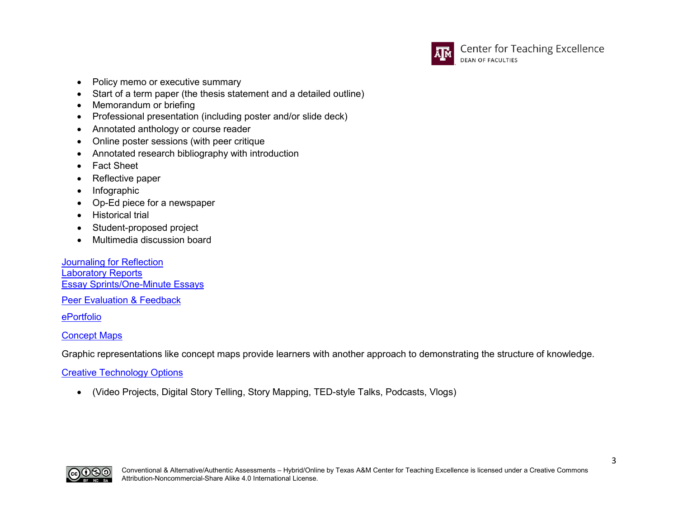

- Policy memo or executive summary
- Start of a term paper (the thesis statement and a detailed outline)
- Memorandum or briefing
- Professional presentation (including poster and/or slide deck)
- Annotated anthology or course reader
- Online poster sessions (with peer critique
- Annotated research bibliography with introduction
- Fact Sheet
- Reflective paper
- Infographic
- Op-Ed piece for a newspaper
- Historical trial
- Student-proposed project
- Multimedia discussion board

[Journaling for Reflection](#page-13-0) [Laboratory Reports](#page-14-0) [Essay Sprints/One-Minute Essays](#page-14-1)

[Peer Evaluation & Feedback](#page-15-0)

[ePortfolio](#page-16-0)

#### [Concept Maps](#page-16-1)

Graphic representations like concept maps provide learners with another approach to demonstrating the structure of knowledge.

#### [Creative Technology Options](#page-17-0)

<span id="page-2-0"></span>• (Video Projects, Digital Story Telling, Story Mapping, TED-style Talks, Podcasts, Vlogs)

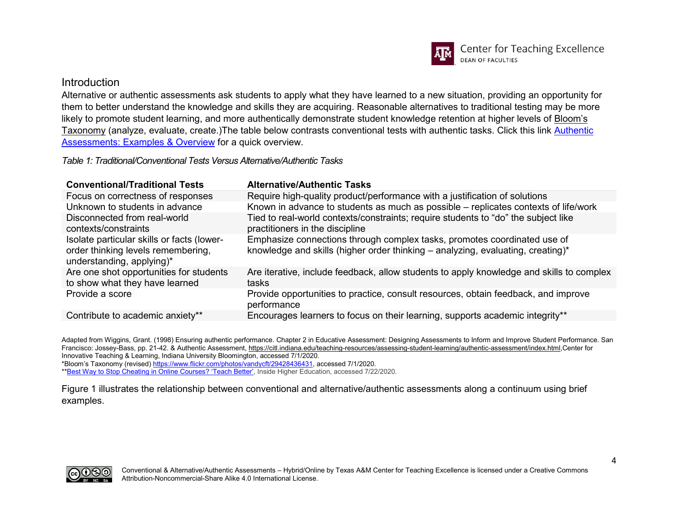

#### Introduction

Alternative or authentic assessments ask students to apply what they have learned to a new situation, providing an opportunity for them to better understand the knowledge and skills they are acquiring. Reasonable alternatives to traditional testing may be more likely to promote student learning, and more authentically demonstrate student knowledge retention at higher levels of [Bloom's](https://www.flickr.com/photos/vandycft/29428436431)  [Taxonomy](https://www.flickr.com/photos/vandycft/29428436431) (analyze, evaluate, create.)The table below contrasts conventional tests with authentic tasks. Click this link Authentic [Assessments: Examples & Overview](https://www.youtube.com/watch?v=rQPCk27tM4U) for a quick overview.

*Table 1: Traditional/Conventional Tests Versus Alternative/Authentic Tasks*

| <b>Conventional/Traditional Tests</b>                                                                         | <b>Alternative/Authentic Tasks</b>                                                                                                                          |
|---------------------------------------------------------------------------------------------------------------|-------------------------------------------------------------------------------------------------------------------------------------------------------------|
| Focus on correctness of responses                                                                             | Require high-quality product/performance with a justification of solutions                                                                                  |
| Unknown to students in advance                                                                                | Known in advance to students as much as possible – replicates contexts of life/work                                                                         |
| Disconnected from real-world<br>contexts/constraints                                                          | Tied to real-world contexts/constraints; require students to "do" the subject like<br>practitioners in the discipline                                       |
| Isolate particular skills or facts (lower-<br>order thinking levels remembering,<br>understanding, applying)* | Emphasize connections through complex tasks, promotes coordinated use of<br>knowledge and skills (higher order thinking – analyzing, evaluating, creating)* |
| Are one shot opportunities for students<br>to show what they have learned                                     | Are iterative, include feedback, allow students to apply knowledge and skills to complex<br>tasks                                                           |
| Provide a score                                                                                               | Provide opportunities to practice, consult resources, obtain feedback, and improve<br>performance                                                           |
| Contribute to academic anxiety**                                                                              | Encourages learners to focus on their learning, supports academic integrity**                                                                               |

Adapted from Wiggins, Grant. (1998) Ensuring authentic performance. Chapter 2 in Educative Assessment: Designing Assessments to Inform and Improve Student Performance. San Francisco: Jossey-Bass, pp. 21-42. & Authentic Assessment[, https://citl.indiana.edu/teaching-resources/assessing-student-learning/authentic-assessment/index.html,](https://citl.indiana.edu/teaching-resources/assessing-student-learning/authentic-assessment/index.html)Center for Innovative Teaching & Learning, Indiana University Bloomington, accessed 7/1/2020.

\*Bloom's Taxonomy (revised[\) https://www.flickr.com/photos/vandycft/29428436431,](https://www.flickr.com/photos/vandycft/29428436431) accessed 7/1/2020.

\*[\\*Best Way to Stop Cheating in Online Courses? 'Teach Better',](https://www.insidehighered.com/digital-learning/article/2020/07/22/technology-best-way-stop-online-cheating-no-experts-say-better?utm_source=Inside+Higher+Ed&utm_campaign=711d98996c-DNU_2020_COPY_03&utm_medium=email&utm_term=0_1fcbc04421-711d98996c-200178385&mc_cid=711d98996c&mc_eid=ad6bd660f2) Inside Higher Education, accessed 7/22/2020.

Figure 1 illustrates the relationship between conventional and alternative/authentic assessments along a continuum using brief examples.

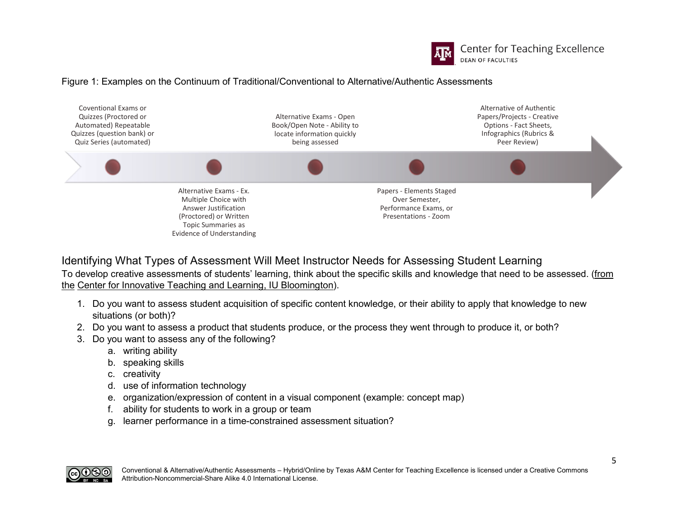

**Center for Teaching Excellence DEAN OF FACULTIES** 

#### Figure 1: Examples on the Continuum of Traditional/Conventional to Alternative/Authentic Assessments



<span id="page-4-0"></span>Identifying What Types of Assessment Will Meet Instructor Needs for Assessing Student Learning To develop creative assessments of students' learning, think about the specific skills and knowledge that need to be assessed. (from [the](https://citl.indiana.edu/teaching-resources/assessing-student-learning/alternatives-traditional-exams-papers/index.html) [Center for Innovative Teaching and Learning, IU Bloomington\)](https://citl.indiana.edu/teaching-resources/assessing-student-learning/alternatives-traditional-exams-papers/index.html).

- 1. Do you want to assess student acquisition of specific content knowledge, or their ability to apply that knowledge to new situations (or both)?
- 2. Do you want to assess a product that students produce, or the process they went through to produce it, or both?
- 3. Do you want to assess any of the following?
	- a. writing ability
	- b. speaking skills
	- c. creativity
	- d. use of information technology
	- e. organization/expression of content in a visual component (example: concept map)
	- f. ability for students to work in a group or team
	- g. learner performance in a time-constrained assessment situation?

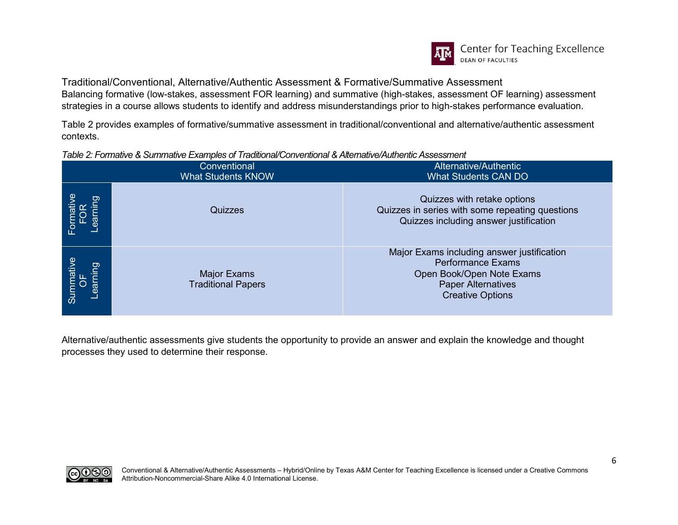

<span id="page-5-0"></span>Traditional/Conventional, Alternative/Authentic Assessment & Formative/Summative Assessment Balancing formative (low-stakes, assessment FOR learning) and summative (high-stakes, assessment OF learning) assessment strategies in a course allows students to identify and address misunderstandings prior to high-stakes performance evaluation.

Table 2 provides examples of formative/summative assessment in traditional/conventional and alternative/authentic assessment contexts.

#### *Table 2: Formative & Summative Examples of Traditional/Conventional & Alternative/Authentic Assessment*

|                             | Conventional<br><b>What Students KNOW</b> | Alternative/Authentic<br><b>What Students CAN DO</b>                                                                                                        |
|-----------------------------|-------------------------------------------|-------------------------------------------------------------------------------------------------------------------------------------------------------------|
| puir<br>Formative<br>Lear   | Quizzes                                   | Quizzes with retake options<br>Quizzes in series with some repeating questions<br>Quizzes including answer justification                                    |
| Summative<br>OF<br>Learning | Major Exams<br><b>Traditional Papers</b>  | Major Exams including answer justification<br><b>Performance Exams</b><br>Open Book/Open Note Exams<br><b>Paper Alternatives</b><br><b>Creative Options</b> |

Alternative/authentic assessments give students the opportunity to provide an answer and explain the knowledge and thought processes they used to determine their response.

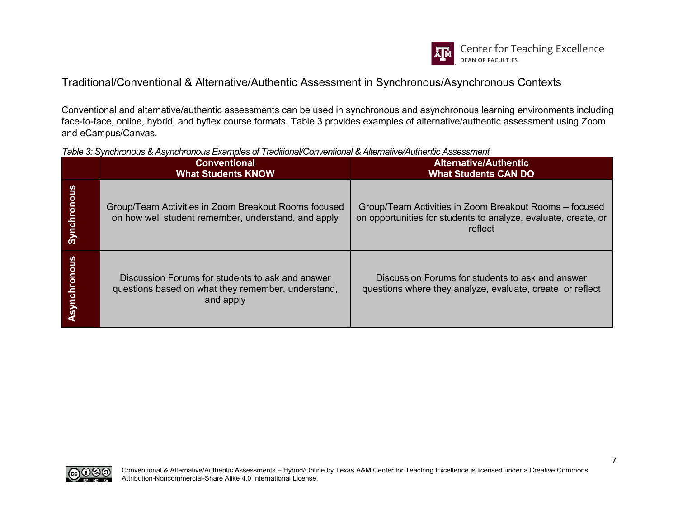

# <span id="page-6-0"></span>Traditional/Conventional & Alternative/Authentic Assessment in Synchronous/Asynchronous Contexts

Conventional and alternative/authentic assessments can be used in synchronous and asynchronous learning environments including face-to-face, online, hybrid, and hyflex course formats. Table 3 provides examples of alternative/authentic assessment using Zoom and eCampus/Canvas.

| Table 3: Synchronous & Asynchronous Examples of Traditional/Conventional & Alternative/Authentic Assessment |  |
|-------------------------------------------------------------------------------------------------------------|--|
|-------------------------------------------------------------------------------------------------------------|--|

|                     | <b>Conventional</b><br><b>What Students KNOW</b>                                                                    | <b>Alternative/Authentic</b><br><b>What Students CAN DO</b>                                                                         |
|---------------------|---------------------------------------------------------------------------------------------------------------------|-------------------------------------------------------------------------------------------------------------------------------------|
| <b>Synchronous</b>  | Group/Team Activities in Zoom Breakout Rooms focused<br>on how well student remember, understand, and apply         | Group/Team Activities in Zoom Breakout Rooms - focused<br>on opportunities for students to analyze, evaluate, create, or<br>reflect |
| <b>Asynchronous</b> | Discussion Forums for students to ask and answer<br>questions based on what they remember, understand,<br>and apply | Discussion Forums for students to ask and answer<br>questions where they analyze, evaluate, create, or reflect                      |

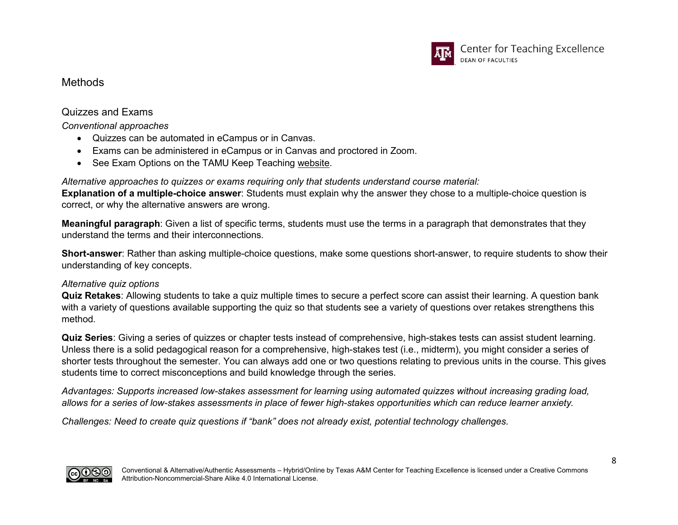

### <span id="page-7-1"></span><span id="page-7-0"></span>**Methods**

### Quizzes and Exams

*Conventional approaches*

- Quizzes can be automated in eCampus or in Canvas.
- Exams can be administered in eCampus or in Canvas and proctored in Zoom.
- See Exam Options on the TAMU Keep Teaching [website.](https://provost.tamu.edu/keep-teaching)

### <span id="page-7-2"></span>*Alternative approaches to quizzes or exams requiring only that students understand course material:*

**Explanation of a multiple-choice answer**: Students must explain why the answer they chose to a multiple-choice question is correct, or why the alternative answers are wrong.

**Meaningful paragraph**: Given a list of specific terms, students must use the terms in a paragraph that demonstrates that they understand the terms and their interconnections.

**Short-answer**: Rather than asking multiple-choice questions, make some questions short-answer, to require students to show their understanding of key concepts.

### <span id="page-7-3"></span>*Alternative quiz options*

**Quiz Retakes**: Allowing students to take a quiz multiple times to secure a perfect score can assist their learning. A question bank with a variety of questions available supporting the quiz so that students see a variety of questions over retakes strengthens this method.

**Quiz Series**: Giving a series of quizzes or chapter tests instead of comprehensive, high-stakes tests can assist student learning. Unless there is a solid pedagogical reason for a comprehensive, high-stakes test (i.e., midterm), you might consider a series of shorter tests throughout the semester. You can always add one or two questions relating to previous units in the course. This gives students time to correct misconceptions and build knowledge through the series.

*Advantages: Supports increased low-stakes assessment for learning using automated quizzes without increasing grading load,*  allows for a series of low-stakes assessments in place of fewer high-stakes opportunities which can reduce learner anxiety.

*Challenges: Need to create quiz questions if "bank" does not already exist, potential technology challenges.*

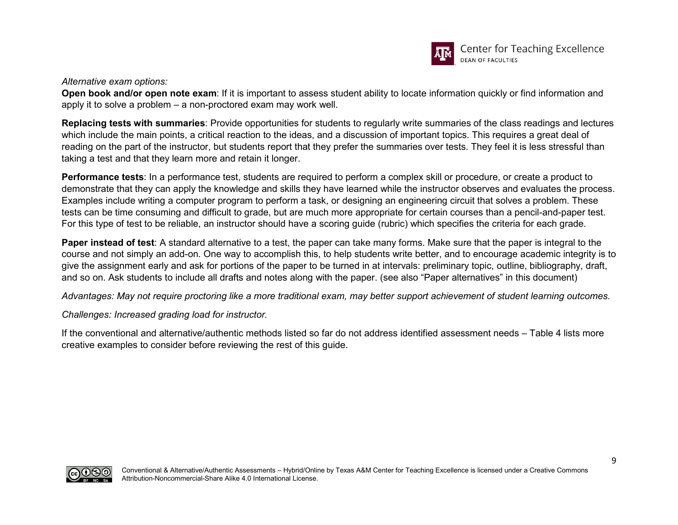

<span id="page-8-0"></span>*Alternative exam options:*

**Open book and/or open note exam**: If it is important to assess student ability to locate information quickly or find information and apply it to solve a problem – a non-proctored exam may work well.

**Replacing tests with summaries**: Provide opportunities for students to regularly write summaries of the class readings and lectures which include the main points, a critical reaction to the ideas, and a discussion of important topics. This requires a great deal of reading on the part of the instructor, but students report that they prefer the summaries over tests. They feel it is less stressful than taking a test and that they learn more and retain it longer.

**Performance tests**: In a performance test, students are required to perform a complex skill or procedure, or create a product to demonstrate that they can apply the knowledge and skills they have learned while the instructor observes and evaluates the process. Examples include writing a computer program to perform a task, or designing an engineering circuit that solves a problem. These tests can be time consuming and difficult to grade, but are much more appropriate for certain courses than a pencil-and-paper test. For this type of test to be reliable, an instructor should have a scoring guide (rubric) which specifies the criteria for each grade.

**Paper instead of test**: A standard alternative to a test, the paper can take many forms. Make sure that the paper is integral to the course and not simply an add-on. One way to accomplish this, to help students write better, and to encourage academic integrity is to give the assignment early and ask for portions of the paper to be turned in at intervals: preliminary topic, outline, bibliography, draft, and so on. Ask students to include all drafts and notes along with the paper. (see also "Paper alternatives" in this document)

*Advantages: May not require proctoring like a more traditional exam, may better support achievement of student learning outcomes.*

*Challenges: Increased grading load for instructor.*

If the conventional and alternative/authentic methods listed so far do not address identified assessment needs – Table 4 lists more creative examples to consider before reviewing the rest of this guide.

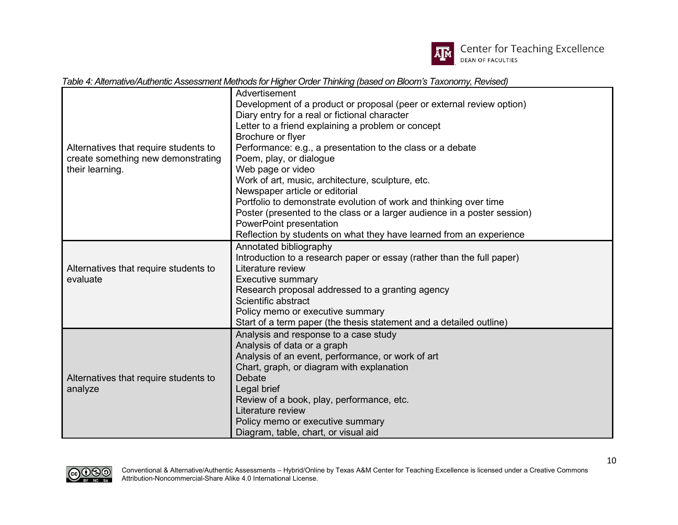

*Table 4: Alternative/Authentic Assessment Methods for Higher Order Thinking (based on Bloom's Taxonomy, Revised)*

|                                                                                                | Advertisement                                                            |
|------------------------------------------------------------------------------------------------|--------------------------------------------------------------------------|
|                                                                                                | Development of a product or proposal (peer or external review option)    |
|                                                                                                | Diary entry for a real or fictional character                            |
|                                                                                                | Letter to a friend explaining a problem or concept                       |
|                                                                                                | Brochure or flyer                                                        |
| Alternatives that require students to<br>create something new demonstrating<br>their learning. | Performance: e.g., a presentation to the class or a debate               |
|                                                                                                | Poem, play, or dialogue                                                  |
|                                                                                                | Web page or video                                                        |
|                                                                                                | Work of art, music, architecture, sculpture, etc.                        |
|                                                                                                | Newspaper article or editorial                                           |
|                                                                                                | Portfolio to demonstrate evolution of work and thinking over time        |
|                                                                                                | Poster (presented to the class or a larger audience in a poster session) |
|                                                                                                | PowerPoint presentation                                                  |
|                                                                                                | Reflection by students on what they have learned from an experience      |
|                                                                                                | Annotated bibliography                                                   |
| Alternatives that require students to<br>evaluate                                              | Introduction to a research paper or essay (rather than the full paper)   |
|                                                                                                | Literature review                                                        |
|                                                                                                | <b>Executive summary</b>                                                 |
|                                                                                                | Research proposal addressed to a granting agency                         |
|                                                                                                | Scientific abstract                                                      |
|                                                                                                | Policy memo or executive summary                                         |
|                                                                                                | Start of a term paper (the thesis statement and a detailed outline)      |
|                                                                                                | Analysis and response to a case study                                    |
|                                                                                                | Analysis of data or a graph                                              |
| Alternatives that require students to<br>analyze                                               | Analysis of an event, performance, or work of art                        |
|                                                                                                | Chart, graph, or diagram with explanation                                |
|                                                                                                | Debate                                                                   |
|                                                                                                | Legal brief                                                              |
|                                                                                                | Review of a book, play, performance, etc.                                |
|                                                                                                | Literature review                                                        |
|                                                                                                | Policy memo or executive summary                                         |
|                                                                                                | Diagram, table, chart, or visual aid                                     |

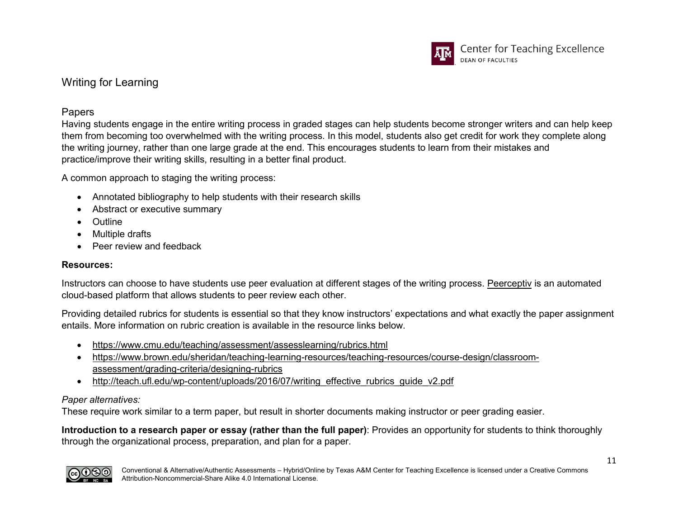

# <span id="page-10-0"></span>Writing for Learning

### Papers

Having students engage in the entire writing process in graded stages can help students become stronger writers and can help keep them from becoming too overwhelmed with the writing process. In this model, students also get credit for work they complete along the writing journey, rather than one large grade at the end. This encourages students to learn from their mistakes and practice/improve their writing skills, resulting in a better final product.

A common approach to staging the writing process:

- Annotated bibliography to help students with their research skills
- Abstract or executive summary
- Outline
- Multiple drafts
- Peer review and feedback

#### **Resources:**

Instructors can choose to have students use peer evaluation at different stages of the writing process. [Peerceptiv](https://it.tamu.edu/services/academics-and-research/teaching-and-learning-tools/peerceptiv-peer-review/) is an automated cloud-based platform that allows students to peer review each other.

Providing detailed rubrics for students is essential so that they know instructors' expectations and what exactly the paper assignment entails. More information on rubric creation is available in the resource links below.

- <https://www.cmu.edu/teaching/assessment/assesslearning/rubrics.html>
- [https://www.brown.edu/sheridan/teaching-learning-resources/teaching-resources/course-design/classroom](https://www.brown.edu/sheridan/teaching-learning-resources/teaching-resources/course-design/classroom-assessment/grading-criteria/designing-rubrics)[assessment/grading-criteria/designing-rubrics](https://www.brown.edu/sheridan/teaching-learning-resources/teaching-resources/course-design/classroom-assessment/grading-criteria/designing-rubrics)
- [http://teach.ufl.edu/wp-content/uploads/2016/07/writing\\_effective\\_rubrics\\_guide\\_v2.pdf](http://teach.ufl.edu/wp-content/uploads/2016/07/writing_effective_rubrics_guide_v2.pdf)

#### <span id="page-10-1"></span>*Paper alternatives:*

These require work similar to a term paper, but result in shorter documents making instructor or peer grading easier.

**Introduction to a research paper or essay (rather than the full paper)**: Provides an opportunity for students to think thoroughly through the organizational process, preparation, and plan for a paper.

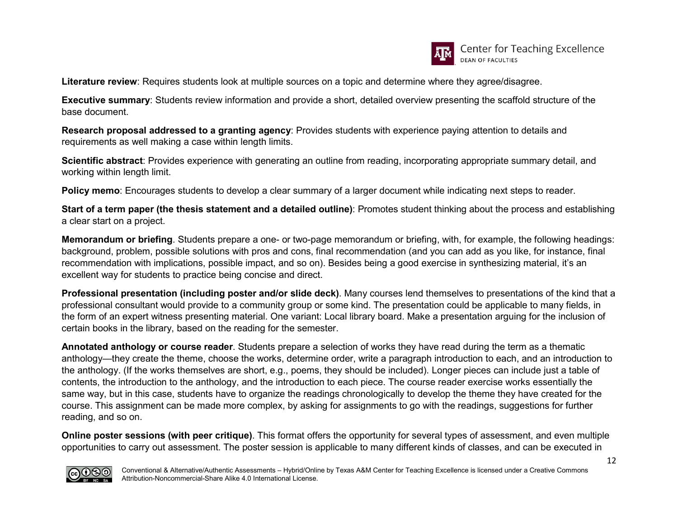

**Literature review**: Requires students look at multiple sources on a topic and determine where they agree/disagree.

**Executive summary**: Students review information and provide a short, detailed overview presenting the scaffold structure of the base document.

**Research proposal addressed to a granting agency**: Provides students with experience paying attention to details and requirements as well making a case within length limits.

**Scientific abstract**: Provides experience with generating an outline from reading, incorporating appropriate summary detail, and working within length limit.

**Policy memo**: Encourages students to develop a clear summary of a larger document while indicating next steps to reader.

**Start of a term paper (the thesis statement and a detailed outline)**: Promotes student thinking about the process and establishing a clear start on a project.

**Memorandum or briefing**. Students prepare a one- or two-page memorandum or briefing, with, for example, the following headings: background, problem, possible solutions with pros and cons, final recommendation (and you can add as you like, for instance, final recommendation with implications, possible impact, and so on). Besides being a good exercise in synthesizing material, it's an excellent way for students to practice being concise and direct.

**Professional presentation (including poster and/or slide deck)**. Many courses lend themselves to presentations of the kind that a professional consultant would provide to a community group or some kind. The presentation could be applicable to many fields, in the form of an expert witness presenting material. One variant: Local library board. Make a presentation arguing for the inclusion of certain books in the library, based on the reading for the semester.

**Annotated anthology or course reader**. Students prepare a selection of works they have read during the term as a thematic anthology—they create the theme, choose the works, determine order, write a paragraph introduction to each, and an introduction to the anthology. (If the works themselves are short, e.g., poems, they should be included). Longer pieces can include just a table of contents, the introduction to the anthology, and the introduction to each piece. The course reader exercise works essentially the same way, but in this case, students have to organize the readings chronologically to develop the theme they have created for the course. This assignment can be made more complex, by asking for assignments to go with the readings, suggestions for further reading, and so on.

**Online poster sessions (with peer critique)**. This format offers the opportunity for several types of assessment, and even multiple opportunities to carry out assessment. The poster session is applicable to many different kinds of classes, and can be executed in

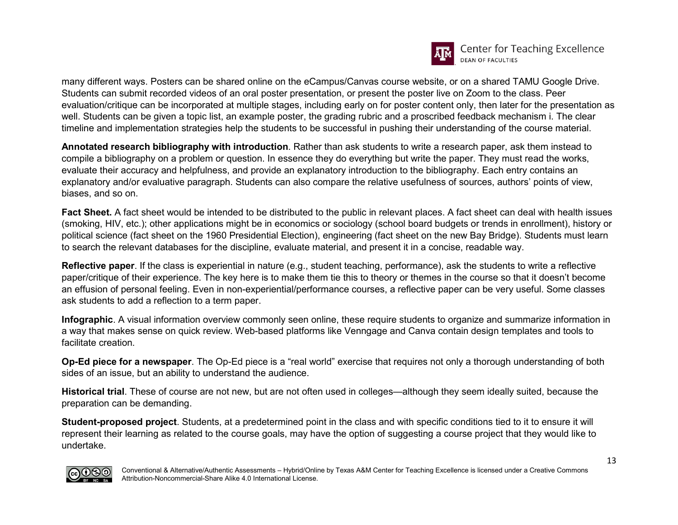

many different ways. Posters can be shared online on the eCampus/Canvas course website, or on a shared TAMU Google Drive. Students can submit recorded videos of an oral poster presentation, or present the poster live on Zoom to the class. Peer evaluation/critique can be incorporated at multiple stages, including early on for poster content only, then later for the presentation as well. Students can be given a topic list, an example poster, the grading rubric and a proscribed feedback mechanism i. The clear timeline and implementation strategies help the students to be successful in pushing their understanding of the course material.

**Annotated research bibliography with introduction**. Rather than ask students to write a research paper, ask them instead to compile a bibliography on a problem or question. In essence they do everything but write the paper. They must read the works, evaluate their accuracy and helpfulness, and provide an explanatory introduction to the bibliography. Each entry contains an explanatory and/or evaluative paragraph. Students can also compare the relative usefulness of sources, authors' points of view, biases, and so on.

**Fact Sheet.** A fact sheet would be intended to be distributed to the public in relevant places. A fact sheet can deal with health issues (smoking, HIV, etc.); other applications might be in economics or sociology (school board budgets or trends in enrollment), history or political science (fact sheet on the 1960 Presidential Election), engineering (fact sheet on the new Bay Bridge). Students must learn to search the relevant databases for the discipline, evaluate material, and present it in a concise, readable way.

**Reflective paper**. If the class is experiential in nature (e.g., student teaching, performance), ask the students to write a reflective paper/critique of their experience. The key here is to make them tie this to theory or themes in the course so that it doesn't become an effusion of personal feeling. Even in non-experiential/performance courses, a reflective paper can be very useful. Some classes ask students to add a reflection to a term paper.

**Infographic**. A visual information overview commonly seen online, these require students to organize and summarize information in a way that makes sense on quick review. Web-based platforms like Venngage and Canva contain design templates and tools to facilitate creation.

**Op-Ed piece for a newspaper**. The Op-Ed piece is a "real world" exercise that requires not only a thorough understanding of both sides of an issue, but an ability to understand the audience.

**Historical trial**. These of course are not new, but are not often used in colleges—although they seem ideally suited, because the preparation can be demanding.

**Student-proposed project**. Students, at a predetermined point in the class and with specific conditions tied to it to ensure it will represent their learning as related to the course goals, may have the option of suggesting a course project that they would like to undertake.

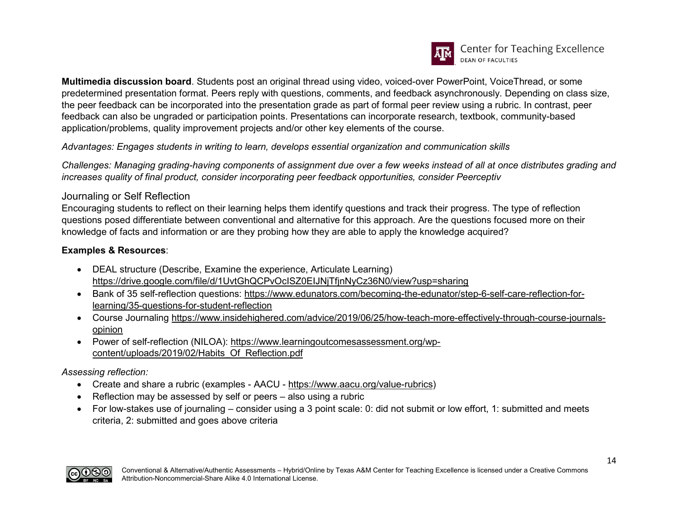

**Multimedia discussion board**. Students post an original thread using video, voiced-over PowerPoint, VoiceThread, or some predetermined presentation format. Peers reply with questions, comments, and feedback asynchronously. Depending on class size, the peer feedback can be incorporated into the presentation grade as part of formal peer review using a rubric. In contrast, peer feedback can also be ungraded or participation points. Presentations can incorporate research, textbook, community-based application/problems, quality improvement projects and/or other key elements of the course.

*Advantages: Engages students in writing to learn, develops essential organization and communication skills*

*Challenges: Managing grading-having components of assignment due over a few weeks instead of all at once distributes grading and increases quality of final product, consider incorporating peer feedback opportunities, consider [Peerceptiv](https://servicenow.tamu.edu/tamu-selfservice/knowledge_detail.do?sysparm_document_key=kb_knowledge,KB0012384%20v3.0&sysparm_searchtable=kb_knowledge)*

### <span id="page-13-0"></span>Journaling or Self Reflection

Encouraging students to reflect on their learning helps them identify questions and track their progress. The type of reflection questions posed differentiate between conventional and alternative for this approach. Are the questions focused more on their knowledge of facts and information or are they probing how they are able to apply the knowledge acquired?

### **Examples & Resources**:

- DEAL structure (Describe, Examine the experience, Articulate Learning) <https://drive.google.com/file/d/1UvtGhQCPvOcISZ0EIJNjTfjnNyCz36N0/view?usp=sharing>
- Bank of 35 self-reflection questions: [https://www.edunators.com/becoming-the-edunator/step-6-self-care-reflection-for](https://www.edunators.com/becoming-the-edunator/step-6-self-care-reflection-for-learning/35-questions-for-student-reflection)[learning/35-questions-for-student-reflection](https://www.edunators.com/becoming-the-edunator/step-6-self-care-reflection-for-learning/35-questions-for-student-reflection)
- Course Journaling [https://www.insidehighered.com/advice/2019/06/25/how-teach-more-effectively-through-course-journals](https://www.insidehighered.com/advice/2019/06/25/how-teach-more-effectively-through-course-journals-opinion)[opinion](https://www.insidehighered.com/advice/2019/06/25/how-teach-more-effectively-through-course-journals-opinion)
- Power of self-reflection (NILOA): [https://www.learningoutcomesassessment.org/wp](https://www.learningoutcomesassessment.org/wp-content/uploads/2019/02/Habits_Of_Reflection.pdf)[content/uploads/2019/02/Habits\\_Of\\_Reflection.pdf](https://www.learningoutcomesassessment.org/wp-content/uploads/2019/02/Habits_Of_Reflection.pdf)

### *Assessing reflection:*

- Create and share a rubric (examples AACU [https://www.aacu.org/value-rubrics\)](https://www.aacu.org/value-rubrics)
- Reflection may be assessed by self or peers also using a rubric
- For low-stakes use of journaling consider using a 3 point scale: 0: did not submit or low effort, 1: submitted and meets criteria, 2: submitted and goes above criteria

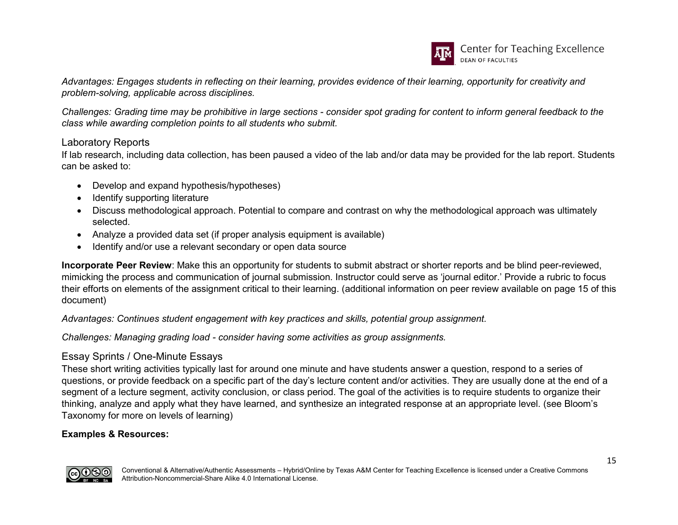

*Advantages: Engages students in reflecting on their learning, provides evidence of their learning, opportunity for creativity and problem-solving, applicable across disciplines.*

*Challenges: Grading time may be prohibitive in large sections - consider spot grading for content to inform general feedback to the class while awarding completion points to all students who submit.*

#### <span id="page-14-0"></span>Laboratory Reports

If lab research, including data collection, has been paused a video of the lab and/or data may be provided for the lab report. Students can be asked to:

- Develop and expand hypothesis/hypotheses)
- Identify supporting literature
- Discuss methodological approach. Potential to compare and contrast on why the methodological approach was ultimately selected.
- Analyze a provided data set (if proper analysis equipment is available)
- Identify and/or use a relevant secondary or open data source

**Incorporate Peer Review**: Make this an opportunity for students to submit abstract or shorter reports and be blind peer-reviewed, mimicking the process and communication of journal submission. Instructor could serve as 'journal editor.' Provide a rubric to focus their efforts on elements of the assignment critical to their learning. (additional information on peer review available on page 15 of this document)

*Advantages: Continues student engagement with key practices and skills, potential group assignment.*

*Challenges: Managing grading load - consider having some activities as group assignments.*

### <span id="page-14-1"></span>Essay Sprints / One-Minute Essays

These short writing activities typically last for around one minute and have students answer a question, respond to a series of questions, or provide feedback on a specific part of the day's lecture content and/or activities. They are usually done at the end of a segment of a lecture segment, activity conclusion, or class period. The goal of the activities is to require students to organize their thinking, analyze and apply what they have learned, and synthesize an integrated response at an appropriate level. (see Bloom's Taxonomy for more on levels of learning)

#### **Examples & Resources:**

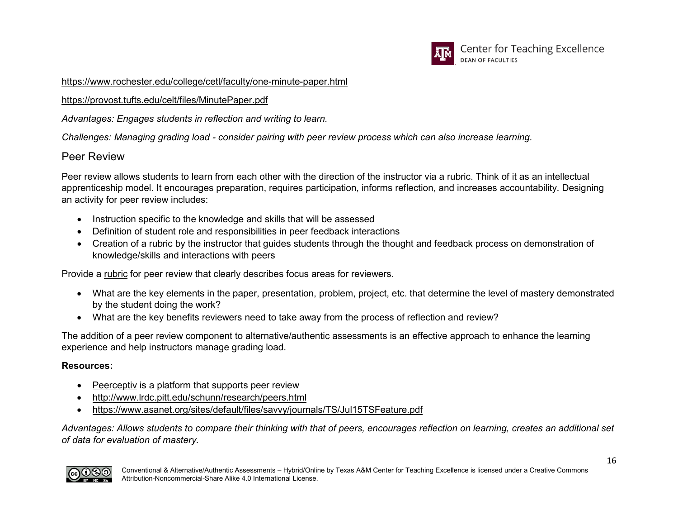

<https://www.rochester.edu/college/cetl/faculty/one-minute-paper.html>

<https://provost.tufts.edu/celt/files/MinutePaper.pdf>

*Advantages: Engages students in reflection and writing to learn.*

*Challenges: Managing grading load - consider pairing with peer review process which can also increase learning.*

# <span id="page-15-0"></span>Peer Review

Peer review allows students to learn from each other with the direction of the instructor via a rubric. Think of it as an intellectual apprenticeship model. It encourages preparation, requires participation, informs reflection, and increases accountability. Designing an activity for peer review includes:

- Instruction specific to the knowledge and skills that will be assessed
- Definition of student role and responsibilities in peer feedback interactions
- Creation of a rubric by the instructor that guides students through the thought and feedback process on demonstration of knowledge/skills and interactions with peers

Provide a [rubric](https://www.cmu.edu/teaching/assessment/assesslearning/rubrics.html) for peer review that clearly describes focus areas for reviewers.

- What are the key elements in the paper, presentation, problem, project, etc. that determine the level of mastery demonstrated by the student doing the work?
- What are the key benefits reviewers need to take away from the process of reflection and review?

The addition of a peer review component to alternative/authentic assessments is an effective approach to enhance the learning experience and help instructors manage grading load.

### **Resources:**

- [Peerceptiv](https://ai.tamu.edu/Systems-Software/Peerceptiv) is a platform that supports peer review
- <http://www.lrdc.pitt.edu/schunn/research/peers.html>
- <https://www.asanet.org/sites/default/files/savvy/journals/TS/Jul15TSFeature.pdf>

*Advantages: Allows students to compare their thinking with that of peers, encourages reflection on learning, creates an additional set of data for evaluation of mastery.*

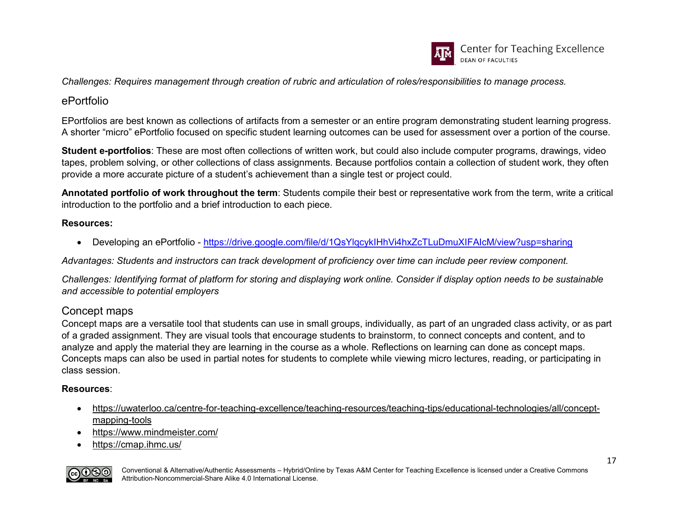

*Challenges: Requires management through creation of rubric and articulation of roles/responsibilities to manage process.*

# <span id="page-16-0"></span>ePortfolio

EPortfolios are best known as collections of artifacts from a semester or an entire program demonstrating student learning progress. A shorter "micro" ePortfolio focused on specific student learning outcomes can be used for assessment over a portion of the course.

**Student e-portfolios**: These are most often collections of written work, but could also include computer programs, drawings, video tapes, problem solving, or other collections of class assignments. Because portfolios contain a collection of student work, they often provide a more accurate picture of a student's achievement than a single test or project could.

**Annotated portfolio of work throughout the term**: Students compile their best or representative work from the term, write a critical introduction to the portfolio and a brief introduction to each piece.

### **Resources:**

• Developing an ePortfolio - <https://drive.google.com/file/d/1QsYlqcykIHhVi4hxZcTLuDmuXIFAIcM/view?usp=sharing>

*Advantages: Students and instructors can track development of proficiency over time can include peer review component.*

*Challenges: Identifying format of platform for storing and displaying work online. Consider if display option needs to be sustainable and accessible to potential employers*

# <span id="page-16-1"></span>Concept maps

Concept maps are a versatile tool that students can use in small groups, individually, as part of an ungraded class activity, or as part of a graded assignment. They are visual tools that encourage students to brainstorm, to connect concepts and content, and to analyze and apply the material they are learning in the course as a whole. Reflections on learning can done as concept maps. Concepts maps can also be used in partial notes for students to complete while viewing micro lectures, reading, or participating in class session.

### **Resources**:

- [https://uwaterloo.ca/centre-for-teaching-excellence/teaching-resources/teaching-tips/educational-technologies/all/concept](https://uwaterloo.ca/centre-for-teaching-excellence/teaching-resources/teaching-tips/educational-technologies/all/concept-mapping-tools)[mapping-tools](https://uwaterloo.ca/centre-for-teaching-excellence/teaching-resources/teaching-tips/educational-technologies/all/concept-mapping-tools)
- <https://www.mindmeister.com/>
- <https://cmap.ihmc.us/>

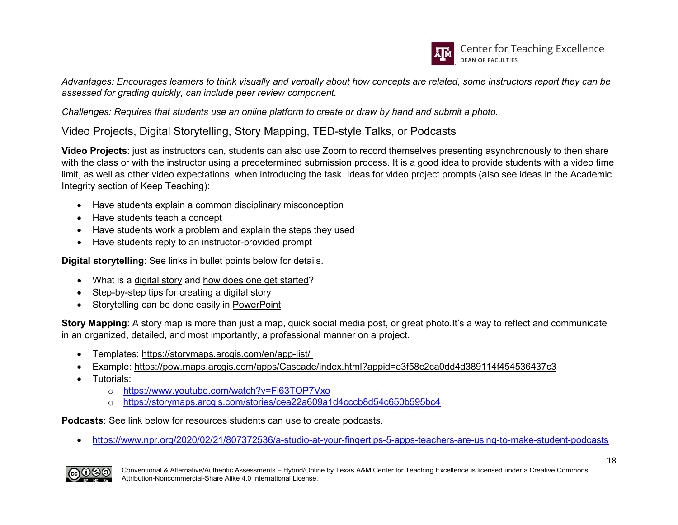

*Advantages: Encourages learners to think visually and verbally about how concepts are related, some instructors report they can be assessed for grading quickly, can include peer review component.*

*Challenges: Requires that students use an online platform to create or draw by hand and submit a photo.*

<span id="page-17-0"></span>Video Projects, Digital Storytelling, Story Mapping, TED-style Talks, or Podcasts

**Video Projects**: just as instructors can, students can also use Zoom to record themselves presenting asynchronously to then share with the class or with the instructor using a predetermined submission process. It is a good idea to provide students with a video time limit, as well as other video expectations, when introducing the task. Ideas for video project prompts (also see ideas in the Academic Integrity section of Keep Teaching):

- Have students explain a common disciplinary misconception
- Have students teach a concept
- Have students work a problem and explain the steps they used
- Have students reply to an instructor-provided prompt

**Digital storytelling**: See links in bullet points below for details.

- What is a [digital story](https://digitalstorytelling.coe.uh.edu/page.cfm?id=27&cid=27) and [how does one get started?](https://digitalstorytelling.coe.uh.edu/page.cfm?id=23&cid=23)
- Step-by-step [tips for creating a digital story](https://www.youtube.com/watch?v=LVKeO5IIR_A)
- Storytelling can be done easily in [PowerPoint](https://www.youtube.com/watch?v=N2MbBSc6930)

**Story Mapping**: A [story map](https://storymaps.arcgis.com/) is more than just a map, quick social media post, or great photo.It's a way to reflect and communicate in an organized, detailed, and most importantly, a professional manner on a project.

- Templates:<https://storymaps.arcgis.com/en/app-list/>
- Example:<https://pow.maps.arcgis.com/apps/Cascade/index.html?appid=e3f58c2ca0dd4d389114f454536437c3>
- Tutorials:
	- o <https://www.youtube.com/watch?v=Fi63TOP7Vxo>
	- o <https://storymaps.arcgis.com/stories/cea22a609a1d4cccb8d54c650b595bc4>

**Podcasts**: See link below for resources students can use to create podcasts.

• <https://www.npr.org/2020/02/21/807372536/a-studio-at-your-fingertips-5-apps-teachers-are-using-to-make-student-podcasts>